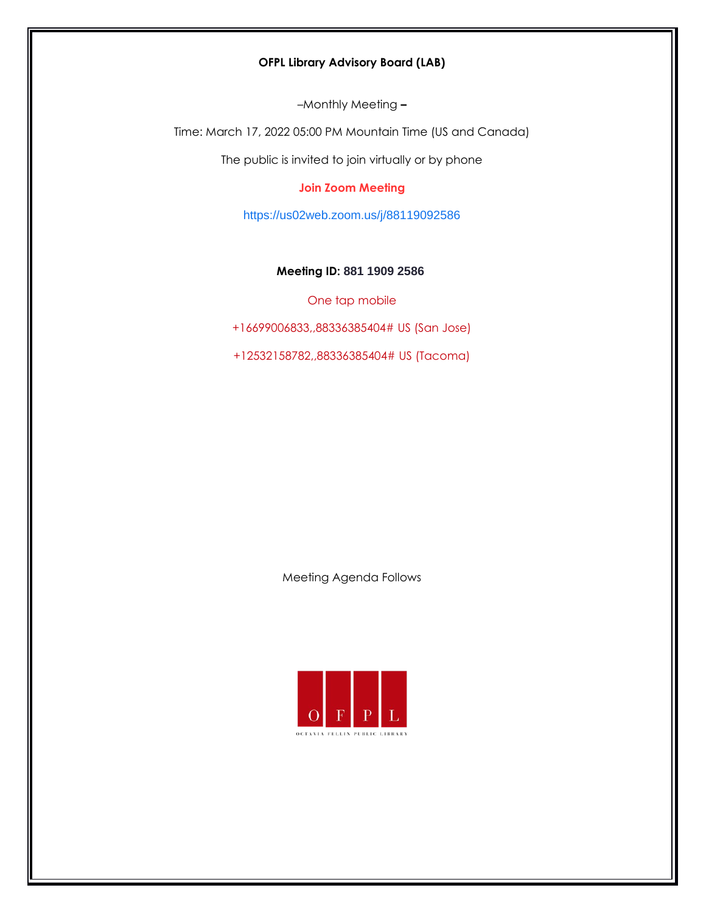# **OFPL Library Advisory Board (LAB)**

–Monthly Meeting **–**

Time: March 17, 2022 05:00 PM Mountain Time (US and Canada)

The public is invited to join virtually or by phone

# **Join Zoom Meeting**

<https://us02web.zoom.us/j/88119092586>

# **Meeting ID: 881 1909 2586**

One tap mobile

+16699006833,,88336385404# US (San Jose)

+12532158782,,88336385404# US (Tacoma)

Meeting Agenda Follows